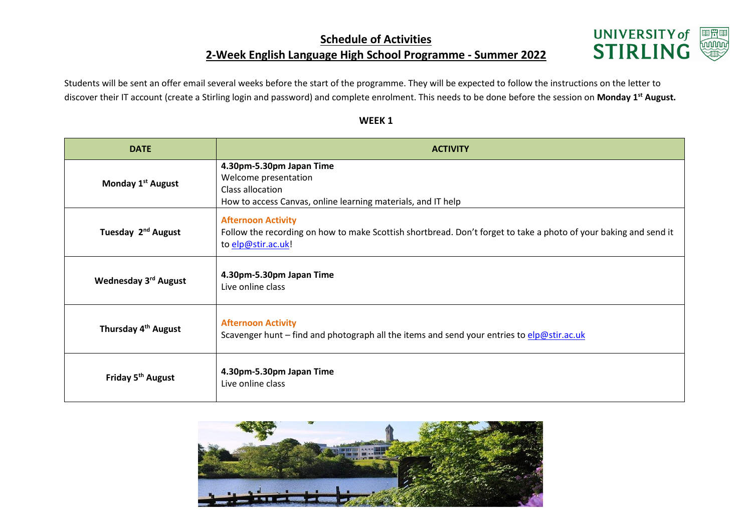## **Schedule of Activities 2-Week English Language High School Programme - Summer 2022**



Students will be sent an offer email several weeks before the start of the programme. They will be expected to follow the instructions on the letter to discover their IT account (create a Stirling login and password) and complete enrolment. This needs to be done before the session on **Monday 1st August.**

| <b>DATE</b>                      | <b>ACTIVITY</b>                                                                                                                                                     |
|----------------------------------|---------------------------------------------------------------------------------------------------------------------------------------------------------------------|
| Monday 1 <sup>st</sup> August    | 4.30pm-5.30pm Japan Time<br>Welcome presentation<br>Class allocation<br>How to access Canvas, online learning materials, and IT help                                |
| Tuesday 2 <sup>nd</sup> August   | <b>Afternoon Activity</b><br>Follow the recording on how to make Scottish shortbread. Don't forget to take a photo of your baking and send it<br>to elp@stir.ac.uk! |
| Wednesday 3 <sup>rd</sup> August | 4.30pm-5.30pm Japan Time<br>Live online class                                                                                                                       |
| Thursday 4 <sup>th</sup> August  | <b>Afternoon Activity</b><br>Scavenger hunt - find and photograph all the items and send your entries to elp@stir.ac.uk                                             |
| Friday 5 <sup>th</sup> August    | 4.30pm-5.30pm Japan Time<br>Live online class                                                                                                                       |

## **WEEK 1**